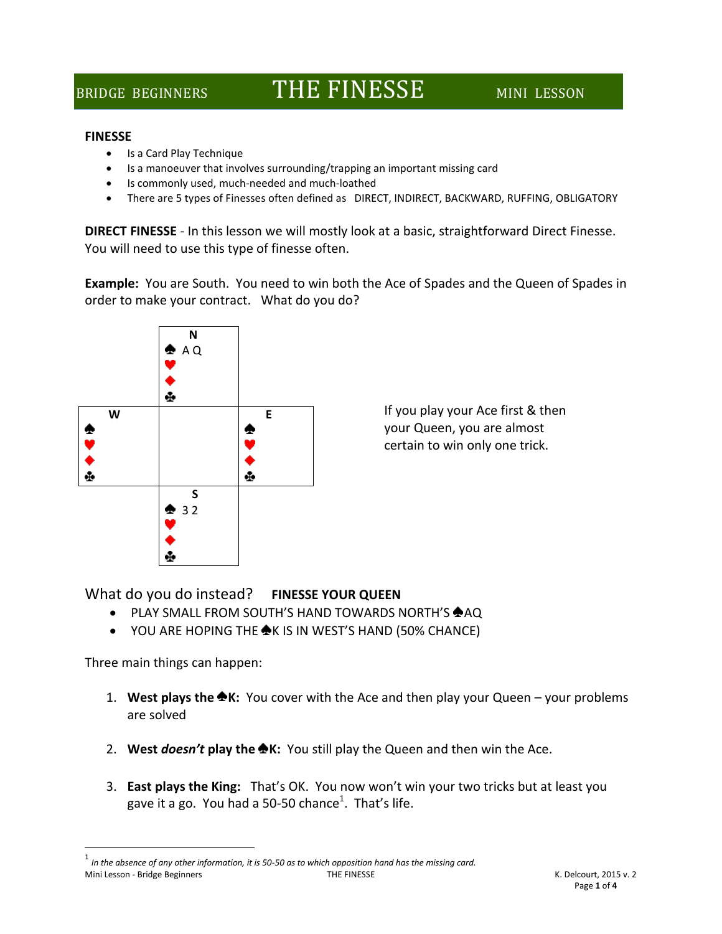## **FINESSE**

- Is a Card Play Technique
- Is a manoeuver that involves surrounding/trapping an important missing card
- Is commonly used, much-needed and much-loathed
- There are 5 types of Finesses often defined as DIRECT, INDIRECT, BACKWARD, RUFFING, OBLIGATORY

**DIRECT FINESSE** - In this lesson we will mostly look at a basic, straightforward Direct Finesse. You will need to use this type of finesse often.

**Example:** You are South. You need to win both the Ace of Spades and the Queen of Spades in order to make your contract. What do you do?



If you play your Ace first & then your Queen, you are almost certain to win only one trick.

What do you do instead? **FINESSE YOUR QUEEN**

- $\bullet$  PLAY SMALL FROM SOUTH'S HAND TOWARDS NORTH'S  $\bigoplus AQ$
- YOU ARE HOPING THE  $\triangleq$ K IS IN WEST'S HAND (50% CHANCE)

Three main things can happen:

 $\overline{\phantom{a}}$ 

- 1. **West plays the**  $\triangle$ **K:** You cover with the Ace and then play your Queen your problems are solved
- 2. West *doesn't* play the  $\triangleq$ K: You still play the Queen and then win the Ace.
- 3. **East plays the King:** That's OK. You now won't win your two tricks but at least you gave it a go. You had a 50-50 chance $^1$ . That's life.

Mini Lesson - Bridge Beginners **THE FINESSE** THE FINESSE **K. Delcourt, 2015 v. 2** 1 *In the absence of any other information, it is 50-50 as to which opposition hand has the missing card.*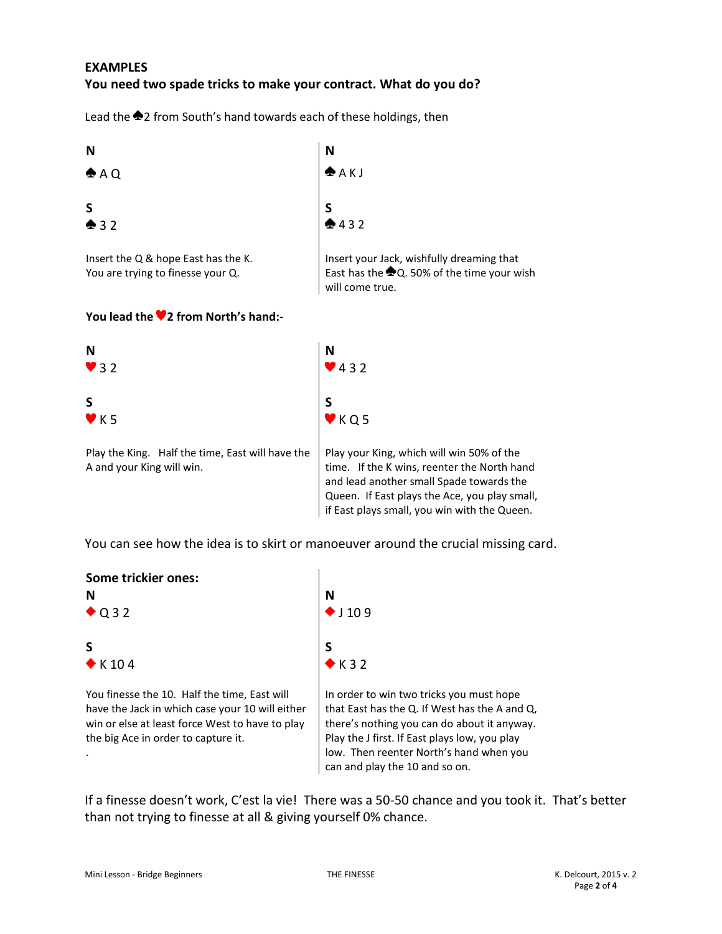# **EXAMPLES You need two spade tricks to make your contract. What do you do?**

Lead the  $\clubsuit$ 2 from South's hand towards each of these holdings, then



You can see how the idea is to skirt or manoeuver around the crucial missing card.



If a finesse doesn't work, C'est la vie! There was a 50-50 chance and you took it. That's better than not trying to finesse at all & giving yourself 0% chance.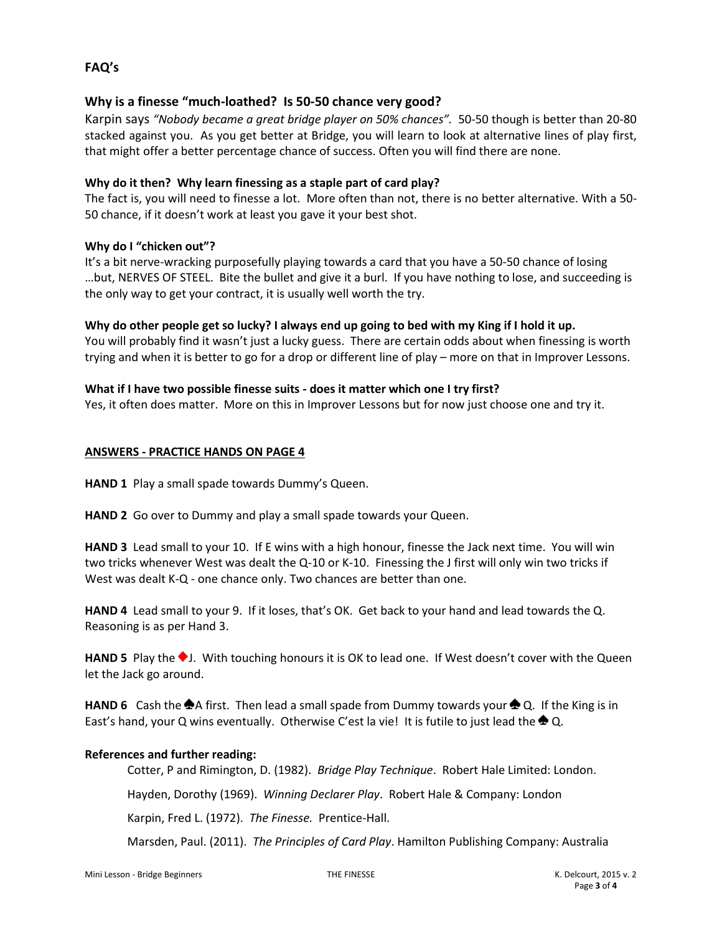# **FAQ's**

# **Why is a finesse "much-loathed? Is 50-50 chance very good?**

Karpin says *"Nobody became a great bridge player on 50% chances".* 50-50 though is better than 20-80 stacked against you. As you get better at Bridge, you will learn to look at alternative lines of play first, that might offer a better percentage chance of success. Often you will find there are none.

## **Why do it then? Why learn finessing as a staple part of card play?**

The fact is, you will need to finesse a lot. More often than not, there is no better alternative. With a 50- 50 chance, if it doesn't work at least you gave it your best shot.

# **Why do I "chicken out"?**

It's a bit nerve-wracking purposefully playing towards a card that you have a 50-50 chance of losing …but, NERVES OF STEEL. Bite the bullet and give it a burl. If you have nothing to lose, and succeeding is the only way to get your contract, it is usually well worth the try.

### **Why do other people get so lucky? I always end up going to bed with my King if I hold it up.**

You will probably find it wasn't just a lucky guess. There are certain odds about when finessing is worth trying and when it is better to go for a drop or different line of play – more on that in Improver Lessons.

### **What if I have two possible finesse suits - does it matter which one I try first?**

Yes, it often does matter. More on this in Improver Lessons but for now just choose one and try it.

### **ANSWERS - PRACTICE HANDS ON PAGE 4**

**HAND 1** Play a small spade towards Dummy's Queen.

**HAND 2** Go over to Dummy and play a small spade towards your Queen.

**HAND 3** Lead small to your 10. If E wins with a high honour, finesse the Jack next time. You will win two tricks whenever West was dealt the Q-10 or K-10. Finessing the J first will only win two tricks if West was dealt K-Q - one chance only. Two chances are better than one.

**HAND 4** Lead small to your 9. If it loses, that's OK. Get back to your hand and lead towards the Q. Reasoning is as per Hand 3.

HAND 5 Play the  $\blacklozenge$ . With touching honours it is OK to lead one. If West doesn't cover with the Queen let the Jack go around.

**HAND 6** Cash the  $\triangleq$  A first. Then lead a small spade from Dummy towards your  $\triangleq$  Q. If the King is in East's hand, your Q wins eventually. Otherwise C'est la vie! It is futile to just lead the  $\clubsuit$  Q.

# **References and further reading:**

Cotter, P and Rimington, D. (1982). *Bridge Play Technique*. Robert Hale Limited: London.

Hayden, Dorothy (1969). *Winning Declarer Play*. Robert Hale & Company: London

Karpin, Fred L. (1972). *The Finesse.* Prentice-Hall.

Marsden, Paul. (2011). *The Principles of Card Play*. Hamilton Publishing Company: Australia